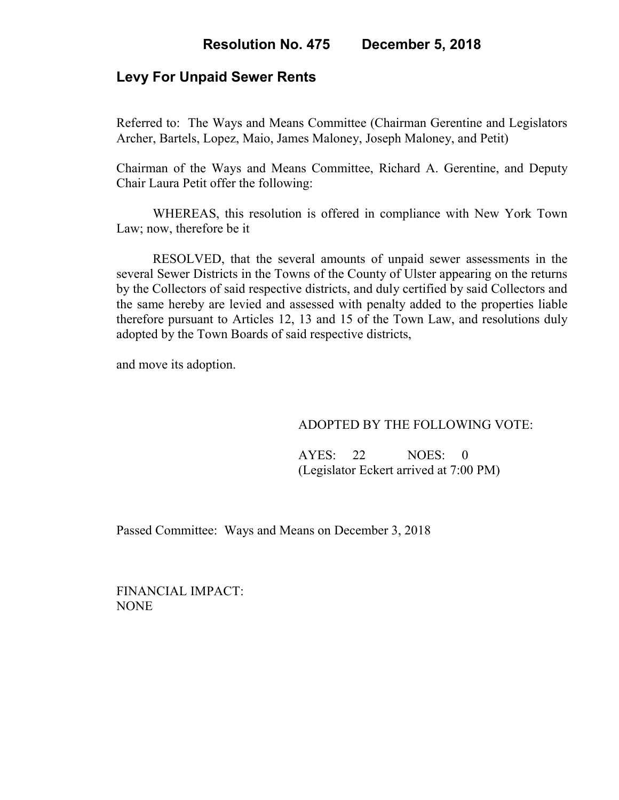# **Levy For Unpaid Sewer Rents**

Referred to: The Ways and Means Committee (Chairman Gerentine and Legislators Archer, Bartels, Lopez, Maio, James Maloney, Joseph Maloney, and Petit)

Chairman of the Ways and Means Committee, Richard A. Gerentine, and Deputy Chair Laura Petit offer the following:

WHEREAS, this resolution is offered in compliance with New York Town Law; now, therefore be it

RESOLVED, that the several amounts of unpaid sewer assessments in the several Sewer Districts in the Towns of the County of Ulster appearing on the returns by the Collectors of said respective districts, and duly certified by said Collectors and the same hereby are levied and assessed with penalty added to the properties liable therefore pursuant to Articles 12, 13 and 15 of the Town Law, and resolutions duly adopted by the Town Boards of said respective districts,

and move its adoption.

## ADOPTED BY THE FOLLOWING VOTE:

 AYES: 22 NOES: 0 (Legislator Eckert arrived at 7:00 PM)

Passed Committee: Ways and Means on December 3, 2018

FINANCIAL IMPACT: NONE